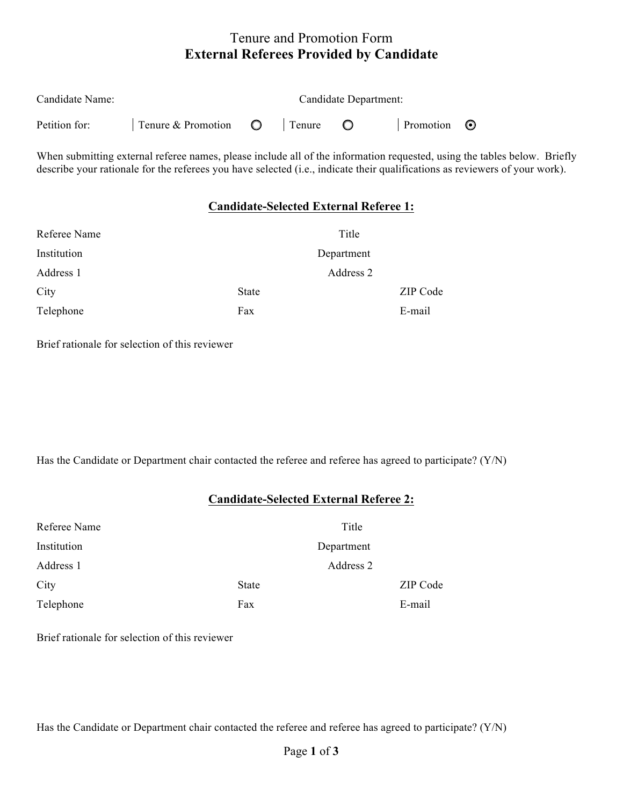# Tenure and Promotion Form **External Referees Provided by Candidate**

| Candidate Name: |                                  | Candidate Department: |          |  |                   |  |
|-----------------|----------------------------------|-----------------------|----------|--|-------------------|--|
| Petition for:   | $\Box$ Tenure & Promotion $\Box$ |                       | l Tenure |  | Promotion $\odot$ |  |

When submitting external referee names, please include all of the information requested, using the tables below. Briefly describe your rationale for the referees you have selected (i.e., indicate their qualifications as reviewers of your work).

#### **Candidate-Selected External Referee 1:**

| Referee Name |              | Title      |
|--------------|--------------|------------|
| Institution  |              | Department |
| Address 1    |              | Address 2  |
| City         | <b>State</b> | ZIP Code   |
| Telephone    | Fax          | E-mail     |

Brief rationale for selection of this reviewer

Has the Candidate or Department chair contacted the referee and referee has agreed to participate? (Y/N)

### **Candidate-Selected External Referee 2:**

| Referee Name | Title      |          |
|--------------|------------|----------|
| Institution  | Department |          |
| Address 1    | Address 2  |          |
| City         | State      | ZIP Code |
| Telephone    | Fax        | E-mail   |

Brief rationale for selection of this reviewer

Has the Candidate or Department chair contacted the referee and referee has agreed to participate? (Y/N)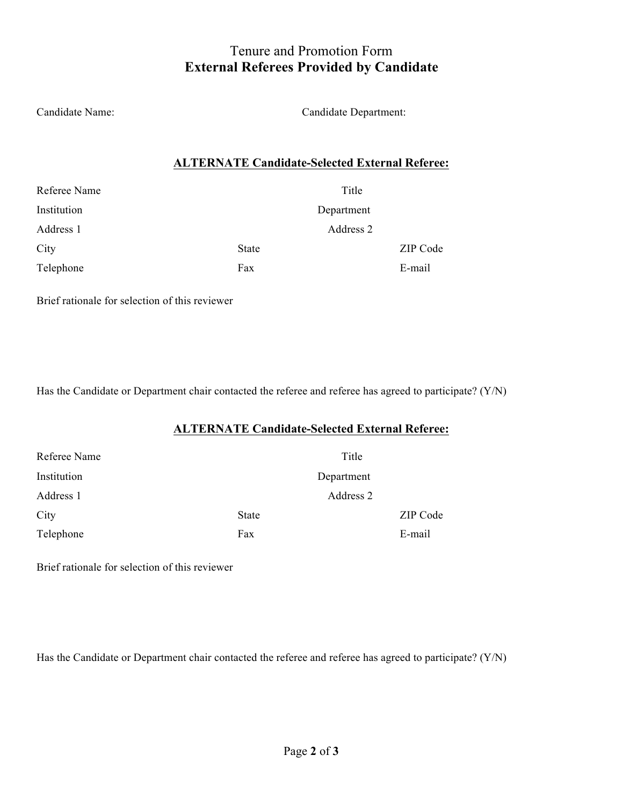# Tenure and Promotion Form **External Referees Provided by Candidate**

Candidate Name: Candidate Department:

### **ALTERNATE Candidate-Selected External Referee:**

| Referee Name |              | Title      |
|--------------|--------------|------------|
| Institution  |              | Department |
| Address 1    |              | Address 2  |
| City         | <b>State</b> | ZIP Code   |
| Telephone    | Fax          | E-mail     |

Brief rationale for selection of this reviewer

Has the Candidate or Department chair contacted the referee and referee has agreed to participate? (Y/N)

### **ALTERNATE Candidate-Selected External Referee:**

| Referee Name |              | Title      |          |
|--------------|--------------|------------|----------|
| Institution  |              | Department |          |
| Address 1    |              | Address 2  |          |
| City         | <b>State</b> |            | ZIP Code |
| Telephone    | Fax          |            | E-mail   |

Brief rationale for selection of this reviewer

Has the Candidate or Department chair contacted the referee and referee has agreed to participate? (Y/N)